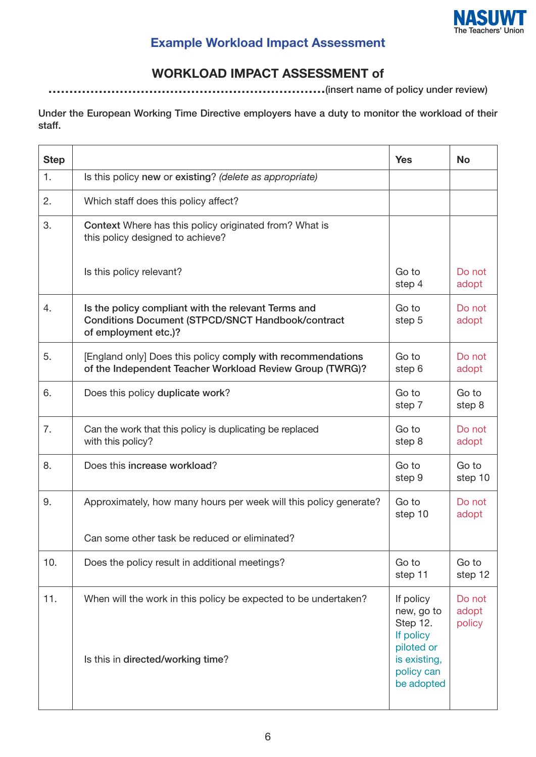

## **Example Workload Impact Assessment**

## **WORKLOAD IMPACT ASSESSMENT of**

**…………………………………………………………(insert name of policy under review)**

**Under the European Working Time Directive employers have a duty to monitor the workload of their staff.**

| <b>Step</b> |                                                                                                                                         | <b>Yes</b>                                                                                                 | <b>No</b>                 |
|-------------|-----------------------------------------------------------------------------------------------------------------------------------------|------------------------------------------------------------------------------------------------------------|---------------------------|
| 1.          | Is this policy new or existing? (delete as appropriate)                                                                                 |                                                                                                            |                           |
| 2.          | Which staff does this policy affect?                                                                                                    |                                                                                                            |                           |
| 3.          | Context Where has this policy originated from? What is<br>this policy designed to achieve?                                              |                                                                                                            |                           |
|             | Is this policy relevant?                                                                                                                | Go to<br>step 4                                                                                            | Do not<br>adopt           |
| 4.          | Is the policy compliant with the relevant Terms and<br><b>Conditions Document (STPCD/SNCT Handbook/contract</b><br>of employment etc.)? | Go to<br>step 5                                                                                            | Do not<br>adopt           |
| 5.          | [England only] Does this policy comply with recommendations<br>of the Independent Teacher Workload Review Group (TWRG)?                 | Go to<br>step 6                                                                                            | Do not<br>adopt           |
| 6.          | Does this policy duplicate work?                                                                                                        | Go to<br>step 7                                                                                            | Go to<br>step 8           |
| 7.          | Can the work that this policy is duplicating be replaced<br>with this policy?                                                           | Go to<br>step 8                                                                                            | Do not<br>adopt           |
| 8.          | Does this increase workload?                                                                                                            | Go to<br>step 9                                                                                            | Go to<br>step 10          |
| 9.          | Approximately, how many hours per week will this policy generate?                                                                       | Go to<br>step 10                                                                                           | Do not<br>adopt           |
|             | Can some other task be reduced or eliminated?                                                                                           |                                                                                                            |                           |
| 10.         | Does the policy result in additional meetings?                                                                                          | Go to<br>step 11                                                                                           | Go to<br>step 12          |
| 11.         | When will the work in this policy be expected to be undertaken?<br>Is this in directed/working time?                                    | If policy<br>new, go to<br>Step 12.<br>If policy<br>piloted or<br>is existing,<br>policy can<br>be adopted | Do not<br>adopt<br>policy |